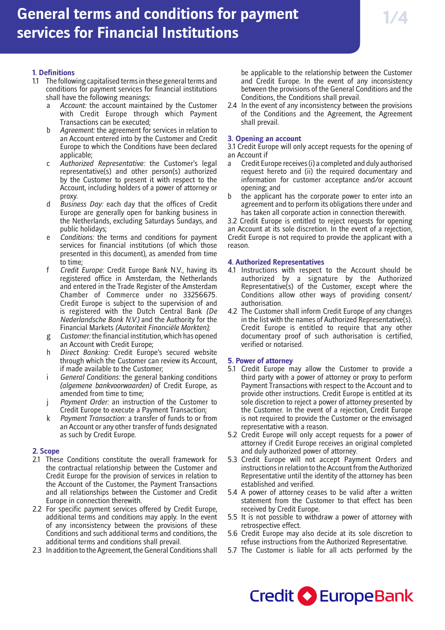# **1. Definitions**

- 1.1 The following capitalised terms in these general terms and conditions for payment services for financial institutions shall have the following meanings:
	- a *Account:* the account maintained by the Customer with Credit Europe through which Payment Transactions can be executed;
	- Agreement: the agreement for services in relation to an Account entered into by the Customer and Credit Europe to which the Conditions have been declared applicable;
	- Authorized Representative: the Customer's legal representative(s) and other person(s) authorized by the Customer to present it with respect to the Account, including holders of a power of attorney or proxy.
	- d *Business Day:* each day that the offices of Credit Europe are generally open for banking business in the Netherlands, excluding Saturdays Sundays, and public holidays;
	- e *Conditions:* the terms and conditions for payment services for financial institutions (of which those presented in this document), as amended from time to time;
	- f *Credit Europe:* Credit Europe Bank N.V., having its registered office in Amsterdam, the Netherlands and entered in the Trade Register of the Amsterdam Chamber of Commerce under no 33256675. Credit Europe is subject to the supervision of and is registered with the Dutch Central Bank *(De Nederlandsche Bank N.V.)* and the Authority for the Financial Markets *(Autoriteit Financiële Markten);*
	- g *Customer:* the financial institution, which has opened an Account with Credit Europe;
	- h *Direct Banking:* Credit Europe's secured website through which the Customer can review its Account, if made available to the Customer;
	- i *General Conditions:* the general banking conditions *(algemene bankvoorwaarden)* of Credit Europe, as amended from time to time;
	- j *Payment Order:* an instruction of the Customer to Credit Europe to execute a Payment Transaction;
	- k *Payment Transaction:* a transfer of funds to or from an Account or any other transfer of funds designated as such by Credit Europe.

# **2. Scope**

- 2.1 These Conditions constitute the overall framework for the contractual relationship between the Customer and Credit Europe for the provision of services in relation to the Account of the Customer, the Payment Transactions and all relationships between the Customer and Credit Europe in connection therewith.
- 2.2 For specific payment services offered by Credit Europe, additional terms and conditions may apply. In the event of any inconsistency between the provisions of these Conditions and such additional terms and conditions, the additional terms and conditions shall prevail.
- 2.3 In addition to the Agreement, the General Conditions shall

be applicable to the relationship between the Customer and Credit Europe. In the event of any inconsistency between the provisions of the General Conditions and the Conditions, the Conditions shall prevail.

2.4 In the event of any inconsistency between the provisions of the Conditions and the Agreement, the Agreement shall prevail.

# **3. Opening an account**

3.1 Credit Europe will only accept requests for the opening of an Account if

- a Credit Europe receives (i) a completed and duly authorised request hereto and (ii) the required documentary and information for customer acceptance and/or account opening; and
- b the applicant has the corporate power to enter into an agreement and to perform its obligations there under and has taken all corporate action in connection therewith.

3.2 Credit Europe is entitled to reject requests for opening an Account at its sole discretion. In the event of a rejection, Credit Europe is not required to provide the applicant with a reason.

# **4. Authorized Representatives**

- 4.1 Instructions with respect to the Account should be authorized by a signature by the Authorized Representative(s) of the Customer, except where the Conditions allow other ways of providing consent/ authorisation.
- 4.2 The Customer shall inform Credit Europe of any changes in the list with the names of Authorized Representative(s). Credit Europe is entitled to require that any other documentary proof of such authorisation is certified, verified or notarised.

# **5. Power of attorney**

- 5.1 Credit Europe may allow the Customer to provide a third party with a power of attorney or proxy to perform Payment Transactions with respect to the Account and to provide other instructions. Credit Europe is entitled at its sole discretion to reject a power of attorney presented by the Customer. In the event of a rejection, Credit Europe is not required to provide the Customer or the envisaged representative with a reason.
- 5.2 Credit Europe will only accept requests for a power of attorney if Credit Europe receives an original completed and duly authorized power of attorney.
- 5.3 Credit Europe will not accept Payment Orders and instructions in relation to the Account from the Authorized Representative until the identity of the attorney has been established and verified.
- 5.4 A power of attorney ceases to be valid after a written statement from the Customer to that effect has been received by Credit Europe.
- 5.5 It is not possible to withdraw a power of attorney with retrospective effect.
- 5.6 Credit Europe may also decide at its sole discretion to refuse instructions from the Authorized Representative.
- 5.7 The Customer is liable for all acts performed by the

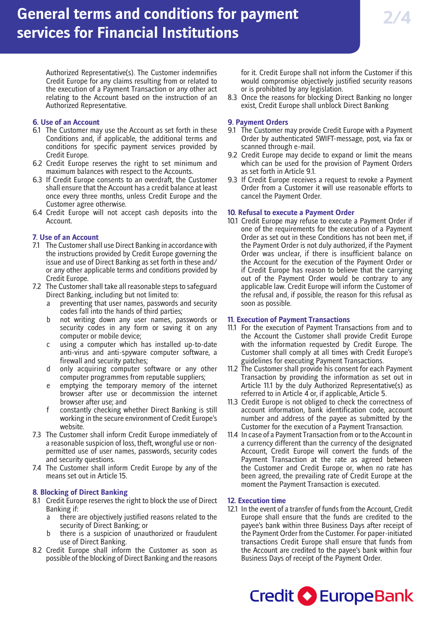Authorized Representative(s). The Customer indemnifies Credit Europe for any claims resulting from or related to the execution of a Payment Transaction or any other act relating to the Account based on the instruction of an Authorized Representative.

## **6. Use of an Account**

- 6.1 The Customer may use the Account as set forth in these Conditions and, if applicable, the additional terms and conditions for specific payment services provided by Credit Europe.
- 6.2 Credit Europe reserves the right to set minimum and maximum balances with respect to the Accounts.
- 6.3 If Credit Europe consents to an overdraft, the Customer shall ensure that the Account has a credit balance at least once every three months, unless Credit Europe and the Customer agree otherwise.
- 6.4 Credit Europe will not accept cash deposits into the Account.

# **7. Use of an Account**

- 7.1 The Customer shall use Direct Banking in accordance with the instructions provided by Credit Europe governing the issue and use of Direct Banking as set forth in these and/ or any other applicable terms and conditions provided by Credit Europe.
- 7.2 The Customer shall take all reasonable steps to safeguard Direct Banking, including but not limited to:
	- a preventing that user names, passwords and security codes fall into the hands of third parties;
	- b not writing down any user names, passwords or security codes in any form or saving it on any computer or mobile device;
	- c using a computer which has installed up-to-date anti-virus and anti-spyware computer software, a firewall and security patches;
	- d only acquiring computer software or any other computer programmes from reputable suppliers;
	- e emptying the temporary memory of the internet browser after use or decommission the internet browser after use; and
	- f constantly checking whether Direct Banking is still working in the secure environment of Credit Europe's website.
- 7.3 The Customer shall inform Credit Europe immediately of a reasonable suspicion of loss, theft, wrongful use or nonpermitted use of user names, passwords, security codes and security questions.
- 7.4 The Customer shall inform Credit Europe by any of the means set out in Article 15.

# **8. Blocking of Direct Banking**

- 8.1 Credit Europe reserves the right to block the use of Direct Banking if:
	- a there are objectively justified reasons related to the security of Direct Banking; or
	- b there is a suspicion of unauthorized or fraudulent use of Direct Banking.
- 8.2 Credit Europe shall inform the Customer as soon as possible of the blocking of Direct Banking and the reasons

for it. Credit Europe shall not inform the Customer if this would compromise objectively justified security reasons or is prohibited by any legislation.

8.3 Once the reasons for blocking Direct Banking no longer exist, Credit Europe shall unblock Direct Banking

# **9. Payment Orders**

- 9.1 The Customer may provide Credit Europe with a Payment Order by authenticated SWIFT-message, post, via fax or scanned through e-mail.
- 9.2 Credit Europe may decide to expand or limit the means which can be used for the provision of Payment Orders as set forth in Article 9.1.
- 9.3 If Credit Europe receives a request to revoke a Payment Order from a Customer it will use reasonable efforts to cancel the Payment Order.

# **10. Refusal to execute a Payment Order**

10.1 Credit Europe may refuse to execute a Payment Order if one of the requirements for the execution of a Payment Order as set out in these Conditions has not been met, if the Payment Order is not duly authorized, if the Payment Order was unclear, if there is insufficient balance on the Account for the execution of the Payment Order or if Credit Europe has reason to believe that the carrying out of the Payment Order would be contrary to any applicable law. Credit Europe will inform the Customer of the refusal and, if possible, the reason for this refusal as soon as possible.

# **11. Execution of Payment Transactions**

- 11.1 For the execution of Payment Transactions from and to the Account the Customer shall provide Credit Europe with the information requested by Credit Europe. The Customer shall comply at all times with Credit Europe's guidelines for executing Payment Transactions.
- 11.2 The Customer shall provide his consent for each Payment Transaction by providing the information as set out in Article 11.1 by the duly Authorized Representative(s) as referred to in Article 4 or, if applicable, Article 5.
- 11.3 Credit Europe is not obliged to check the correctness of account information, bank identification code, account number and address of the payee as submitted by the Customer for the execution of a Payment Transaction.
- 11.4 In case of a Payment Transaction from or to the Account in a currency different than the currency of the designated Account, Credit Europe will convert the funds of the Payment Transaction at the rate as agreed between the Customer and Credit Europe or, when no rate has been agreed, the prevailing rate of Credit Europe at the moment the Payment Transaction is executed.

# **12. Execution time**

12.1 In the event of a transfer of funds from the Account, Credit Europe shall ensure that the funds are credited to the payee's bank within three Business Days after receipt of the Payment Order from the Customer. For paper-initiated transactions Credit Europe shall ensure that funds from the Account are credited to the payee's bank within four Business Days of receipt of the Payment Order.

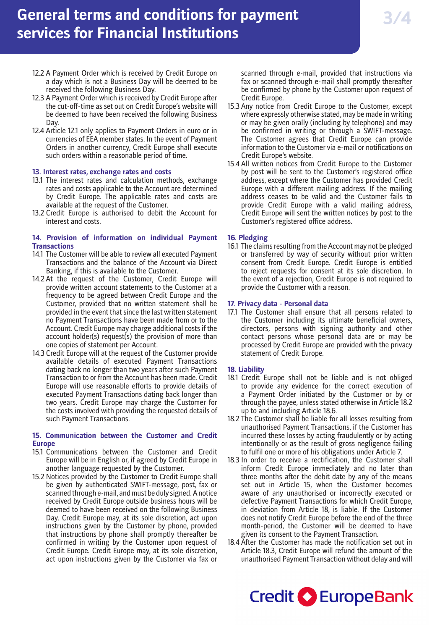# **General terms and conditions for payment services for Financial Institutions**

- 12.2 A Payment Order which is received by Credit Europe on a day which is not a Business Day will be deemed to be received the following Business Day.
- 12.3 A Payment Order which is received by Credit Europe after the cut-off-time as set out on Credit Europe's website will be deemed to have been received the following Business Day.
- 12.4 Article 12.1 only applies to Payment Orders in euro or in currencies of EEA member states. In the event of Payment Orders in another currency, Credit Europe shall execute such orders within a reasonable period of time.

## **13. Interest rates, exchange rates and costs**

- 13.1 The interest rates and calculation methods, exchange rates and costs applicable to the Account are determined by Credit Europe. The applicable rates and costs are available at the request of the Customer.
- 13.2 Credit Europe is authorised to debit the Account for interest and costs.

#### **14. Provision of information on individual Payment Transactions**

- 14.1 The Customer will be able to review all executed Payment Transactions and the balance of the Account via Direct Banking, if this is available to the Customer.
- 14.2 At the request of the Customer, Credit Europe will provide written account statements to the Customer at a frequency to be agreed between Credit Europe and the Customer, provided that no written statement shall be provided in the event that since the last written statement no Payment Transactions have been made from or to the Account. Credit Europe may charge additional costs if the account holder(s) request(s) the provision of more than one copies of statement per Account.
- 14.3 Credit Europe will at the request of the Customer provide available details of executed Payment Transactions dating back no longer than two years after such Payment Transaction to or from the Account has been made. Credit Europe will use reasonable efforts to provide details of executed Payment Transactions dating back longer than two years. Credit Europe may charge the Customer for the costs involved with providing the requested details of such Payment Transactions.

## **15. Communication between the Customer and Credit Europe**

- 15.1 Communications between the Customer and Credit Europe will be in English or, if agreed by Credit Europe in another language requested by the Customer.
- 15.2 Notices provided by the Customer to Credit Europe shall be given by authenticated SWIFT-message, post, fax or scanned through e-mail, and must be duly signed. A notice received by Credit Europe outside business hours will be deemed to have been received on the following Business Day. Credit Europe may, at its sole discretion, act upon instructions given by the Customer by phone, provided that instructions by phone shall promptly thereafter be confirmed in writing by the Customer upon request of Credit Europe. Credit Europe may, at its sole discretion, act upon instructions given by the Customer via fax or

scanned through e-mail, provided that instructions via fax or scanned through e-mail shall promptly thereafter be confirmed by phone by the Customer upon request of Credit Europe.

- 15.3 Any notice from Credit Europe to the Customer, except where expressly otherwise stated, may be made in writing or may be given orally (including by telephone) and may be confirmed in writing or through a SWIFT-message. The Customer agrees that Credit Europe can provide information to the Customer via e-mail or notifications on Credit Europe's website.
- 15.4 All written notices from Credit Europe to the Customer by post will be sent to the Customer's registered office address, except where the Customer has provided Credit Europe with a different mailing address. If the mailing address ceases to be valid and the Customer fails to provide Credit Europe with a valid mailing address, Credit Europe will sent the written notices by post to the Customer's registered office address.

#### **16. Pledging**

16.1 The claims resulting from the Account may not be pledged or transferred by way of security without prior written consent from Credit Europe. Credit Europe is entitled to reject requests for consent at its sole discretion. In the event of a rejection, Credit Europe is not required to provide the Customer with a reason.

## **17. Privacy data - Personal data**

17.1 The Customer shall ensure that all persons related to the Customer including its ultimate beneficial owners, directors, persons with signing authority and other contact persons whose personal data are or may be processed by Credit Europe are provided with the privacy statement of Credit Europe.

## **18. Liability**

- 18.1 Credit Europe shall not be liable and is not obliged to provide any evidence for the correct execution of a Payment Order initiated by the Customer or by or through the payee, unless stated otherwise in Article 18.2 up to and including Article 18.6.
- 18.2 The Customer shall be liable for all losses resulting from unauthorised Payment Transactions, if the Customer has incurred these losses by acting fraudulently or by acting intentionally or as the result of gross negligence failing to fulfil one or more of his obligations under Article 7.
- 18.3 In order to receive a rectification, the Customer shall inform Credit Europe immediately and no later than three months after the debit date by any of the means set out in Article 15, when the Customer becomes aware of any unauthorised or incorrectly executed or defective Payment Transactions for which Credit Europe, in deviation from Article 18, is liable. If the Customer does not notify Credit Europe before the end of the three month-period, the Customer will be deemed to have given its consent to the Payment Transaction.
- 18.4 After the Customer has made the notification set out in Article 18.3, Credit Europe will refund the amount of the unauthorised Payment Transaction without delay and will